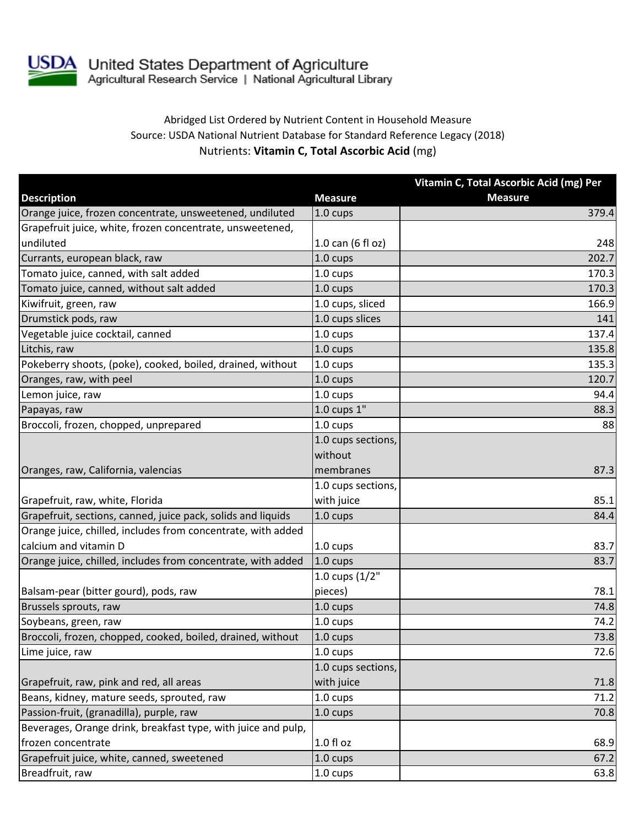

## Abridged List Ordered by Nutrient Content in Household Measure Source: USDA National Nutrient Database for Standard Reference Legacy (2018) Nutrients: **Vitamin C, Total Ascorbic Acid** (mg)

|                                                               |                    | Vitamin C, Total Ascorbic Acid (mg) Per |
|---------------------------------------------------------------|--------------------|-----------------------------------------|
| <b>Description</b>                                            | <b>Measure</b>     | <b>Measure</b>                          |
| Orange juice, frozen concentrate, unsweetened, undiluted      | $1.0 \text{ cups}$ | 379.4                                   |
| Grapefruit juice, white, frozen concentrate, unsweetened,     |                    |                                         |
| undiluted                                                     | 1.0 can (6 fl oz)  | 248                                     |
| Currants, european black, raw                                 | 1.0 cups           | 202.7                                   |
| Tomato juice, canned, with salt added                         | 1.0 cups           | 170.3                                   |
| Tomato juice, canned, without salt added                      | 1.0 cups           | 170.3                                   |
| Kiwifruit, green, raw                                         | 1.0 cups, sliced   | 166.9                                   |
| Drumstick pods, raw                                           | 1.0 cups slices    | 141                                     |
| Vegetable juice cocktail, canned                              | 1.0 cups           | 137.4                                   |
| Litchis, raw                                                  | 1.0 cups           | 135.8                                   |
| Pokeberry shoots, (poke), cooked, boiled, drained, without    | 1.0 cups           | 135.3                                   |
| Oranges, raw, with peel                                       | 1.0 cups           | 120.7                                   |
| Lemon juice, raw                                              | 1.0 cups           | 94.4                                    |
| Papayas, raw                                                  | $1.0$ cups $1"$    | 88.3                                    |
| Broccoli, frozen, chopped, unprepared                         | 1.0 cups           | 88                                      |
|                                                               | 1.0 cups sections, |                                         |
|                                                               | without            |                                         |
| Oranges, raw, California, valencias                           | membranes          | 87.3                                    |
|                                                               | 1.0 cups sections, |                                         |
| Grapefruit, raw, white, Florida                               | with juice         | 85.1                                    |
| Grapefruit, sections, canned, juice pack, solids and liquids  | 1.0 cups           | 84.4                                    |
| Orange juice, chilled, includes from concentrate, with added  |                    |                                         |
| calcium and vitamin D                                         | 1.0 cups           | 83.7                                    |
| Orange juice, chilled, includes from concentrate, with added  | $1.0 \text{ cups}$ | 83.7                                    |
|                                                               | 1.0 cups $(1/2"$   |                                         |
| Balsam-pear (bitter gourd), pods, raw                         | pieces)            | 78.1                                    |
| Brussels sprouts, raw                                         | 1.0 cups           | 74.8                                    |
| Soybeans, green, raw                                          | 1.0 cups           | 74.2                                    |
| Broccoli, frozen, chopped, cooked, boiled, drained, without   | $1.0 \text{ cups}$ | 73.8                                    |
| Lime juice, raw                                               | 1.0 cups           | 72.6                                    |
|                                                               | 1.0 cups sections, |                                         |
| Grapefruit, raw, pink and red, all areas                      | with juice         | 71.8                                    |
| Beans, kidney, mature seeds, sprouted, raw                    | 1.0 cups           | 71.2                                    |
| Passion-fruit, (granadilla), purple, raw                      | 1.0 cups           | 70.8                                    |
| Beverages, Orange drink, breakfast type, with juice and pulp, |                    |                                         |
| frozen concentrate                                            | $1.0 f$ l oz       | 68.9                                    |
| Grapefruit juice, white, canned, sweetened                    | 1.0 cups           | 67.2                                    |
| Breadfruit, raw                                               | 1.0 cups           | 63.8                                    |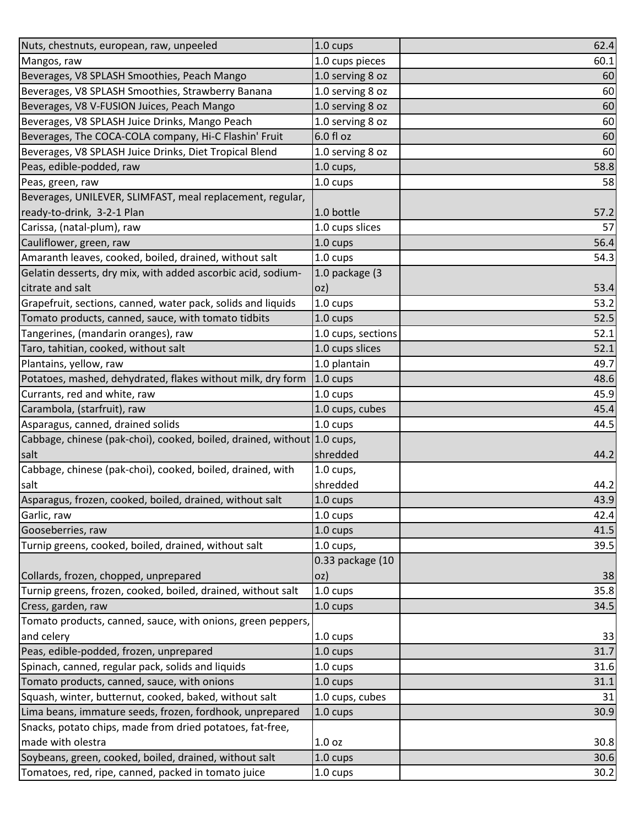| Nuts, chestnuts, european, raw, unpeeled                                       | $1.0 \text{ cups}$ | 62.4 |
|--------------------------------------------------------------------------------|--------------------|------|
| Mangos, raw                                                                    | 1.0 cups pieces    | 60.1 |
| Beverages, V8 SPLASH Smoothies, Peach Mango                                    | 1.0 serving 8 oz   | 60   |
| Beverages, V8 SPLASH Smoothies, Strawberry Banana                              | 1.0 serving 8 oz   | 60   |
| Beverages, V8 V-FUSION Juices, Peach Mango                                     | 1.0 serving 8 oz   | 60   |
| Beverages, V8 SPLASH Juice Drinks, Mango Peach                                 | 1.0 serving 8 oz   | 60   |
| Beverages, The COCA-COLA company, Hi-C Flashin' Fruit                          | 6.0 fl oz          | 60   |
| Beverages, V8 SPLASH Juice Drinks, Diet Tropical Blend                         | 1.0 serving 8 oz   | 60   |
| Peas, edible-podded, raw                                                       | $1.0$ cups,        | 58.8 |
| Peas, green, raw                                                               | 1.0 cups           | 58   |
| Beverages, UNILEVER, SLIMFAST, meal replacement, regular,                      |                    |      |
| ready-to-drink, 3-2-1 Plan                                                     | 1.0 bottle         | 57.2 |
| Carissa, (natal-plum), raw                                                     | 1.0 cups slices    | 57   |
| Cauliflower, green, raw                                                        | 1.0 cups           | 56.4 |
| Amaranth leaves, cooked, boiled, drained, without salt                         | $1.0 \text{ cups}$ | 54.3 |
| Gelatin desserts, dry mix, with added ascorbic acid, sodium-                   | 1.0 package (3     |      |
| citrate and salt                                                               | oz)                | 53.4 |
| Grapefruit, sections, canned, water pack, solids and liquids                   | 1.0 cups           | 53.2 |
| Tomato products, canned, sauce, with tomato tidbits                            | 1.0 cups           | 52.5 |
| Tangerines, (mandarin oranges), raw                                            | 1.0 cups, sections | 52.1 |
| Taro, tahitian, cooked, without salt                                           | 1.0 cups slices    | 52.1 |
| Plantains, yellow, raw                                                         | 1.0 plantain       | 49.7 |
| Potatoes, mashed, dehydrated, flakes without milk, dry form                    | $1.0 \text{ cups}$ | 48.6 |
| Currants, red and white, raw                                                   | 1.0 cups           | 45.9 |
| Carambola, (starfruit), raw                                                    | 1.0 cups, cubes    | 45.4 |
| Asparagus, canned, drained solids                                              | 1.0 cups           | 44.5 |
| Cabbage, chinese (pak-choi), cooked, boiled, drained, without 1.0 cups,        |                    |      |
| salt                                                                           | shredded           | 44.2 |
| Cabbage, chinese (pak-choi), cooked, boiled, drained, with                     | $1.0$ cups,        |      |
| salt                                                                           | shredded           | 44.2 |
| Asparagus, frozen, cooked, boiled, drained, without salt                       | 1.0 cups           | 43.9 |
| Garlic, raw                                                                    | 1.0 cups           | 42.4 |
| Gooseberries, raw                                                              | 1.0 cups           | 41.5 |
| Turnip greens, cooked, boiled, drained, without salt                           | $1.0$ cups,        | 39.5 |
|                                                                                | 0.33 package (10   |      |
| Collards, frozen, chopped, unprepared                                          | oz)                | 38   |
| Turnip greens, frozen, cooked, boiled, drained, without salt                   | 1.0 cups           | 35.8 |
| Cress, garden, raw                                                             | 1.0 cups           | 34.5 |
| Tomato products, canned, sauce, with onions, green peppers,                    |                    |      |
| and celery                                                                     | 1.0 cups           | 33   |
| Peas, edible-podded, frozen, unprepared                                        | 1.0 cups           | 31.7 |
| Spinach, canned, regular pack, solids and liquids                              | 1.0 cups           | 31.6 |
| Tomato products, canned, sauce, with onions                                    | 1.0 cups           | 31.1 |
| Squash, winter, butternut, cooked, baked, without salt                         | 1.0 cups, cubes    | 31   |
| Lima beans, immature seeds, frozen, fordhook, unprepared                       | 1.0 cups           | 30.9 |
| Snacks, potato chips, made from dried potatoes, fat-free,<br>made with olestra | 1.0 <sub>oz</sub>  | 30.8 |
| Soybeans, green, cooked, boiled, drained, without salt                         |                    |      |
|                                                                                | $1.0 \text{ cups}$ | 30.6 |
| Tomatoes, red, ripe, canned, packed in tomato juice                            | 1.0 cups           | 30.2 |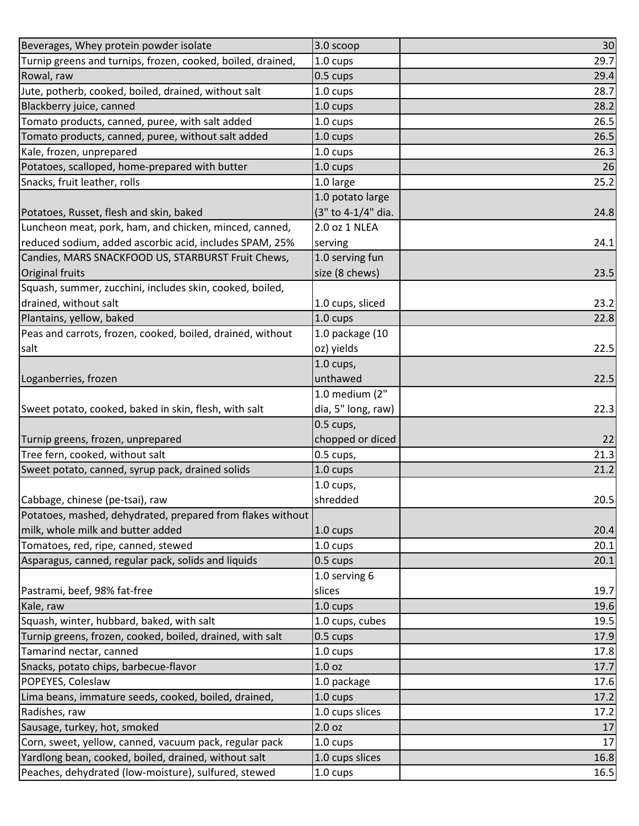| Beverages, Whey protein powder isolate                      | 3.0 scoop          | 30   |
|-------------------------------------------------------------|--------------------|------|
| Turnip greens and turnips, frozen, cooked, boiled, drained, | 1.0 cups           | 29.7 |
| Rowal, raw                                                  | 0.5 cups           | 29.4 |
| Jute, potherb, cooked, boiled, drained, without salt        | 1.0 cups           | 28.7 |
| Blackberry juice, canned                                    | 1.0 cups           | 28.2 |
| Tomato products, canned, puree, with salt added             | 1.0 cups           | 26.5 |
| Tomato products, canned, puree, without salt added          | 1.0 cups           | 26.5 |
| Kale, frozen, unprepared                                    | 1.0 cups           | 26.3 |
| Potatoes, scalloped, home-prepared with butter              | 1.0 cups           | 26   |
| Snacks, fruit leather, rolls                                | 1.0 large          | 25.2 |
|                                                             | 1.0 potato large   |      |
| Potatoes, Russet, flesh and skin, baked                     | (3" to 4-1/4" dia. | 24.8 |
| Luncheon meat, pork, ham, and chicken, minced, canned,      | 2.0 oz 1 NLEA      |      |
| reduced sodium, added ascorbic acid, includes SPAM, 25%     | serving            | 24.1 |
| Candies, MARS SNACKFOOD US, STARBURST Fruit Chews,          | 1.0 serving fun    |      |
| <b>Original fruits</b>                                      | size (8 chews)     | 23.5 |
| Squash, summer, zucchini, includes skin, cooked, boiled,    |                    |      |
| drained, without salt                                       | 1.0 cups, sliced   | 23.2 |
| Plantains, yellow, baked                                    | 1.0 cups           | 22.8 |
| Peas and carrots, frozen, cooked, boiled, drained, without  | 1.0 package (10    |      |
| salt                                                        | oz) yields         | 22.5 |
|                                                             | $1.0$ cups,        |      |
| Loganberries, frozen                                        | unthawed           | 22.5 |
|                                                             | 1.0 medium (2"     |      |
| Sweet potato, cooked, baked in skin, flesh, with salt       | dia, 5" long, raw) | 22.3 |
|                                                             | $0.5$ cups,        |      |
| Turnip greens, frozen, unprepared                           | chopped or diced   | 22   |
| Tree fern, cooked, without salt                             | 0.5 cups,          | 21.3 |
| Sweet potato, canned, syrup pack, drained solids            | 1.0 cups           | 21.2 |
|                                                             | $1.0$ cups,        |      |
| Cabbage, chinese (pe-tsai), raw                             | shredded           | 20.5 |
| Potatoes, mashed, dehydrated, prepared from flakes without  |                    |      |
| milk, whole milk and butter added                           | $1.0 \text{ cups}$ | 20.4 |
| Tomatoes, red, ripe, canned, stewed                         | $1.0 \text{ cups}$ | 20.1 |
| Asparagus, canned, regular pack, solids and liquids         | 0.5 cups           | 20.1 |
|                                                             | 1.0 serving 6      |      |
| Pastrami, beef, 98% fat-free                                | slices             | 19.7 |
| Kale, raw                                                   | 1.0 cups           | 19.6 |
| Squash, winter, hubbard, baked, with salt                   | 1.0 cups, cubes    | 19.5 |
| Turnip greens, frozen, cooked, boiled, drained, with salt   | 0.5 cups           | 17.9 |
| Tamarind nectar, canned                                     | $1.0 \text{ cups}$ | 17.8 |
| Snacks, potato chips, barbecue-flavor                       | 1.0 <sub>oz</sub>  | 17.7 |
| POPEYES, Coleslaw                                           | 1.0 package        | 17.6 |
| Lima beans, immature seeds, cooked, boiled, drained,        | 1.0 cups           | 17.2 |
| Radishes, raw                                               | 1.0 cups slices    | 17.2 |
| Sausage, turkey, hot, smoked                                | 2.0 oz             | 17   |
| Corn, sweet, yellow, canned, vacuum pack, regular pack      | 1.0 cups           | 17   |
| Yardlong bean, cooked, boiled, drained, without salt        | 1.0 cups slices    | 16.8 |
| Peaches, dehydrated (low-moisture), sulfured, stewed        | 1.0 cups           | 16.5 |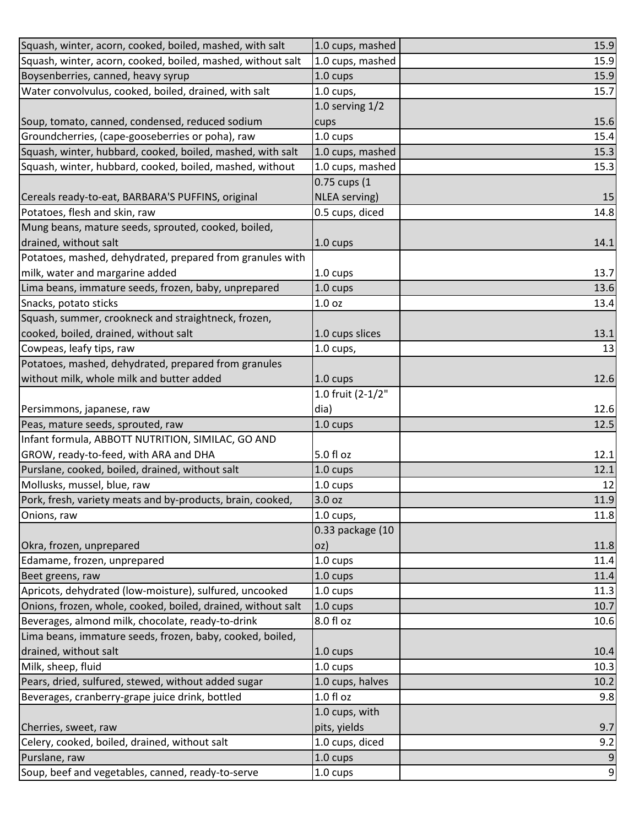| Squash, winter, acorn, cooked, boiled, mashed, with salt     | 1.0 cups, mashed  | 15.9           |
|--------------------------------------------------------------|-------------------|----------------|
| Squash, winter, acorn, cooked, boiled, mashed, without salt  | 1.0 cups, mashed  | 15.9           |
| Boysenberries, canned, heavy syrup                           | 1.0 cups          | 15.9           |
| Water convolvulus, cooked, boiled, drained, with salt        | 1.0 cups,         | 15.7           |
|                                                              | 1.0 serving $1/2$ |                |
| Soup, tomato, canned, condensed, reduced sodium              | cups              | 15.6           |
| Groundcherries, (cape-gooseberries or poha), raw             | 1.0 cups          | 15.4           |
| Squash, winter, hubbard, cooked, boiled, mashed, with salt   | 1.0 cups, mashed  | 15.3           |
| Squash, winter, hubbard, cooked, boiled, mashed, without     | 1.0 cups, mashed  | 15.3           |
|                                                              | 0.75 cups (1      |                |
| Cereals ready-to-eat, BARBARA'S PUFFINS, original            | NLEA serving)     | 15             |
| Potatoes, flesh and skin, raw                                | 0.5 cups, diced   | 14.8           |
| Mung beans, mature seeds, sprouted, cooked, boiled,          |                   |                |
| drained, without salt                                        | 1.0 cups          | 14.1           |
| Potatoes, mashed, dehydrated, prepared from granules with    |                   |                |
| milk, water and margarine added                              | 1.0 cups          | 13.7           |
| Lima beans, immature seeds, frozen, baby, unprepared         | 1.0 cups          | 13.6           |
| Snacks, potato sticks                                        | 1.0 oz            | 13.4           |
| Squash, summer, crookneck and straightneck, frozen,          |                   |                |
| cooked, boiled, drained, without salt                        | 1.0 cups slices   | 13.1           |
| Cowpeas, leafy tips, raw                                     | $1.0$ cups,       | 13             |
| Potatoes, mashed, dehydrated, prepared from granules         |                   |                |
| without milk, whole milk and butter added                    | 1.0 cups          | 12.6           |
|                                                              | 1.0 fruit (2-1/2" |                |
| Persimmons, japanese, raw                                    | dia)              | 12.6           |
| Peas, mature seeds, sprouted, raw                            | 1.0 cups          | 12.5           |
| Infant formula, ABBOTT NUTRITION, SIMILAC, GO AND            |                   |                |
| GROW, ready-to-feed, with ARA and DHA                        | 5.0 fl oz         | 12.1           |
| Purslane, cooked, boiled, drained, without salt              | 1.0 cups          | 12.1           |
| Mollusks, mussel, blue, raw                                  | 1.0 cups          | 12             |
| Pork, fresh, variety meats and by-products, brain, cooked,   | 3.0 oz            | 11.9           |
| Onions, raw                                                  | 1.0 cups,         | 11.8           |
|                                                              | 0.33 package (10  |                |
| Okra, frozen, unprepared                                     | oz)               | 11.8           |
| Edamame, frozen, unprepared                                  | 1.0 cups          | 11.4           |
| Beet greens, raw                                             | 1.0 cups          | 11.4           |
| Apricots, dehydrated (low-moisture), sulfured, uncooked      | 1.0 cups          | 11.3           |
| Onions, frozen, whole, cooked, boiled, drained, without salt | 1.0 cups          | 10.7           |
| Beverages, almond milk, chocolate, ready-to-drink            | 8.0 fl oz         | 10.6           |
| Lima beans, immature seeds, frozen, baby, cooked, boiled,    |                   |                |
| drained, without salt                                        | 1.0 cups          | 10.4           |
| Milk, sheep, fluid                                           | 1.0 cups          | 10.3           |
| Pears, dried, sulfured, stewed, without added sugar          | 1.0 cups, halves  | 10.2           |
| Beverages, cranberry-grape juice drink, bottled              | $1.0 f$ l oz      | 9.8            |
|                                                              | 1.0 cups, with    |                |
| Cherries, sweet, raw                                         | pits, yields      | 9.7            |
| Celery, cooked, boiled, drained, without salt                | 1.0 cups, diced   | 9.2            |
| Purslane, raw                                                | 1.0 cups          | $\overline{9}$ |
| Soup, beef and vegetables, canned, ready-to-serve            | 1.0 cups          | $\overline{9}$ |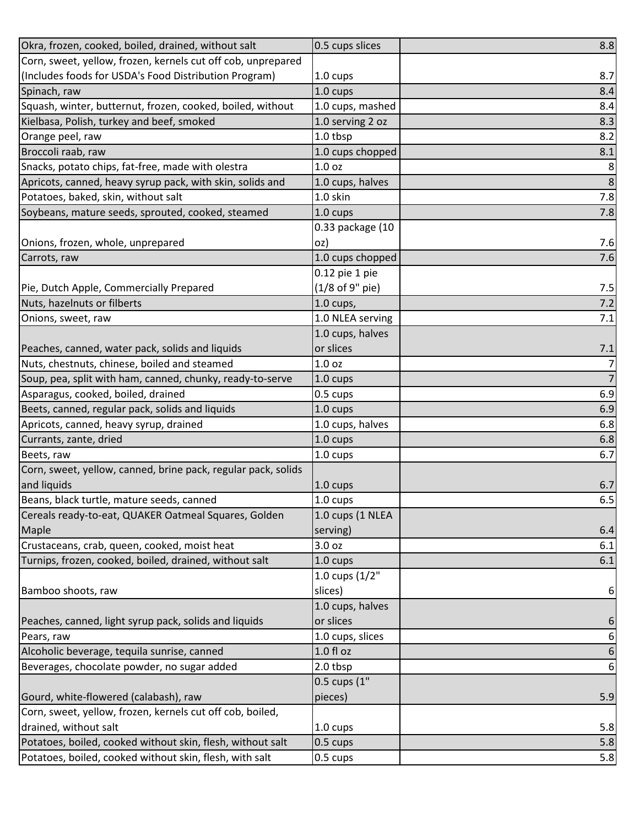| Okra, frozen, cooked, boiled, drained, without salt           | 0.5 cups slices    | 8.8              |
|---------------------------------------------------------------|--------------------|------------------|
| Corn, sweet, yellow, frozen, kernels cut off cob, unprepared  |                    |                  |
| (Includes foods for USDA's Food Distribution Program)         | 1.0 cups           | 8.7              |
| Spinach, raw                                                  | 1.0 cups           | 8.4              |
| Squash, winter, butternut, frozen, cooked, boiled, without    | 1.0 cups, mashed   | 8.4              |
| Kielbasa, Polish, turkey and beef, smoked                     | 1.0 serving 2 oz   | 8.3              |
| Orange peel, raw                                              | 1.0 tbsp           | 8.2              |
| Broccoli raab, raw                                            | 1.0 cups chopped   | 8.1              |
| Snacks, potato chips, fat-free, made with olestra             | 1.0 <sub>oz</sub>  | 8                |
| Apricots, canned, heavy syrup pack, with skin, solids and     | 1.0 cups, halves   | $\,8\,$          |
| Potatoes, baked, skin, without salt                           | 1.0 skin           | 7.8              |
| Soybeans, mature seeds, sprouted, cooked, steamed             | 1.0 cups           | 7.8              |
|                                                               | 0.33 package (10   |                  |
| Onions, frozen, whole, unprepared                             | oz)                | 7.6              |
| Carrots, raw                                                  | 1.0 cups chopped   | 7.6              |
|                                                               | 0.12 pie 1 pie     |                  |
| Pie, Dutch Apple, Commercially Prepared                       | (1/8 of 9" pie)    | 7.5              |
| Nuts, hazelnuts or filberts                                   | $1.0$ cups,        | 7.2              |
| Onions, sweet, raw                                            | 1.0 NLEA serving   | 7.1              |
|                                                               | 1.0 cups, halves   |                  |
| Peaches, canned, water pack, solids and liquids               | or slices          | 7.1              |
| Nuts, chestnuts, chinese, boiled and steamed                  | 1.0 <sub>oz</sub>  | $\overline{7}$   |
| Soup, pea, split with ham, canned, chunky, ready-to-serve     | 1.0 cups           | $\overline{7}$   |
| Asparagus, cooked, boiled, drained                            | 0.5 cups           | 6.9              |
| Beets, canned, regular pack, solids and liquids               | 1.0 cups           | 6.9              |
| Apricots, canned, heavy syrup, drained                        | 1.0 cups, halves   | 6.8              |
| Currants, zante, dried                                        | 1.0 cups           | 6.8              |
| Beets, raw                                                    | 1.0 cups           | 6.7              |
| Corn, sweet, yellow, canned, brine pack, regular pack, solids |                    |                  |
| and liquids                                                   | 1.0 cups           | 6.7              |
| Beans, black turtle, mature seeds, canned                     | 1.0 cups           | 6.5              |
| Cereals ready-to-eat, QUAKER Oatmeal Squares, Golden          | 1.0 cups (1 NLEA   |                  |
| Maple                                                         | serving)           | 6.4              |
| Crustaceans, crab, queen, cooked, moist heat                  | 3.0 oz             | 6.1              |
| Turnips, frozen, cooked, boiled, drained, without salt        | 1.0 cups           | 6.1              |
|                                                               | 1.0 cups $(1/2"$   |                  |
| Bamboo shoots, raw                                            | slices)            | 6                |
|                                                               | 1.0 cups, halves   |                  |
| Peaches, canned, light syrup pack, solids and liquids         | or slices          | 6                |
| Pears, raw                                                    | 1.0 cups, slices   | 6                |
| Alcoholic beverage, tequila sunrise, canned                   | $1.0 f$ l oz       | $\boldsymbol{6}$ |
| Beverages, chocolate powder, no sugar added                   | 2.0 tbsp           | $\boldsymbol{6}$ |
|                                                               | 0.5 cups (1"       |                  |
| Gourd, white-flowered (calabash), raw                         | pieces)            | 5.9              |
| Corn, sweet, yellow, frozen, kernels cut off cob, boiled,     |                    |                  |
| drained, without salt                                         | 1.0 cups           | 5.8              |
| Potatoes, boiled, cooked without skin, flesh, without salt    | 0.5 cups           | 5.8              |
| Potatoes, boiled, cooked without skin, flesh, with salt       | $0.5 \text{ cups}$ | 5.8              |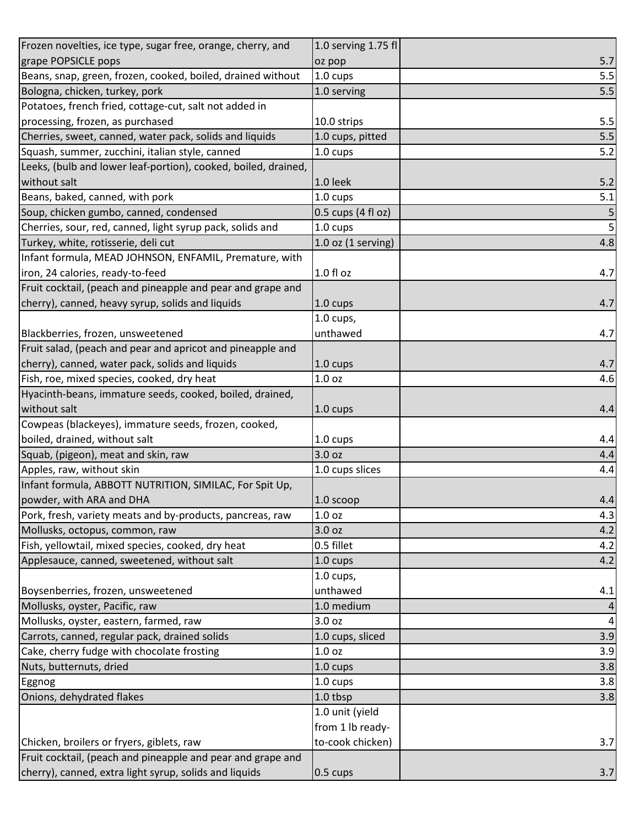| Frozen novelties, ice type, sugar free, orange, cherry, and    | 1.0 serving 1.75 fl    |                |
|----------------------------------------------------------------|------------------------|----------------|
| grape POPSICLE pops                                            | oz pop                 | 5.7            |
| Beans, snap, green, frozen, cooked, boiled, drained without    | 1.0 cups               | 5.5            |
| Bologna, chicken, turkey, pork                                 | 1.0 serving            | 5.5            |
| Potatoes, french fried, cottage-cut, salt not added in         |                        |                |
| processing, frozen, as purchased                               | 10.0 strips            | 5.5            |
| Cherries, sweet, canned, water pack, solids and liquids        | 1.0 cups, pitted       | 5.5            |
| Squash, summer, zucchini, italian style, canned                | 1.0 cups               | 5.2            |
| Leeks, (bulb and lower leaf-portion), cooked, boiled, drained, |                        |                |
| without salt                                                   | 1.0 leek               | 5.2            |
| Beans, baked, canned, with pork                                | 1.0 cups               | 5.1            |
| Soup, chicken gumbo, canned, condensed                         | 0.5 cups (4 fl oz)     |                |
| Cherries, sour, red, canned, light syrup pack, solids and      | 1.0 cups               | 5              |
| Turkey, white, rotisserie, deli cut                            | $1.0$ oz $(1$ serving) | 4.8            |
| Infant formula, MEAD JOHNSON, ENFAMIL, Premature, with         |                        |                |
| iron, 24 calories, ready-to-feed                               | 1.0 fl oz              | 4.7            |
| Fruit cocktail, (peach and pineapple and pear and grape and    |                        |                |
| cherry), canned, heavy syrup, solids and liquids               | $1.0 \text{ cups}$     | 4.7            |
|                                                                | 1.0 cups,              |                |
| Blackberries, frozen, unsweetened                              | unthawed               | 4.7            |
| Fruit salad, (peach and pear and apricot and pineapple and     |                        |                |
| cherry), canned, water pack, solids and liquids                | 1.0 cups               | 4.7            |
| Fish, roe, mixed species, cooked, dry heat                     | 1.0 <sub>oz</sub>      | 4.6            |
| Hyacinth-beans, immature seeds, cooked, boiled, drained,       |                        |                |
| without salt                                                   | $1.0 \text{ cups}$     | 4.4            |
| Cowpeas (blackeyes), immature seeds, frozen, cooked,           |                        |                |
| boiled, drained, without salt                                  | 1.0 cups               | 4.4            |
| Squab, (pigeon), meat and skin, raw                            | 3.0 oz                 | 4.4            |
| Apples, raw, without skin                                      | 1.0 cups slices        | 4.4            |
| Infant formula, ABBOTT NUTRITION, SIMILAC, For Spit Up,        |                        |                |
| powder, with ARA and DHA                                       | $1.0$ scoop            | 4.4            |
| Pork, fresh, variety meats and by-products, pancreas, raw      | 1.0 <sub>oz</sub>      | 4.3            |
| Mollusks, octopus, common, raw                                 | 3.0 oz                 | 4.2            |
| Fish, yellowtail, mixed species, cooked, dry heat              | 0.5 fillet             | 4.2            |
| Applesauce, canned, sweetened, without salt                    | 1.0 cups               | 4.2            |
|                                                                | $1.0$ cups,            |                |
| Boysenberries, frozen, unsweetened                             | unthawed               | 4.1            |
| Mollusks, oyster, Pacific, raw                                 | 1.0 medium             |                |
| Mollusks, oyster, eastern, farmed, raw                         | 3.0 oz                 | $\overline{4}$ |
| Carrots, canned, regular pack, drained solids                  | 1.0 cups, sliced       | 3.9            |
| Cake, cherry fudge with chocolate frosting                     | 1.0 oz                 | 3.9            |
| Nuts, butternuts, dried                                        | 1.0 cups               | 3.8            |
| Eggnog                                                         | 1.0 cups               | 3.8            |
| Onions, dehydrated flakes                                      | 1.0 tbsp               | 3.8            |
|                                                                | 1.0 unit (yield        |                |
|                                                                | from 1 lb ready-       |                |
| Chicken, broilers or fryers, giblets, raw                      | to-cook chicken)       | 3.7            |
| Fruit cocktail, (peach and pineapple and pear and grape and    |                        |                |
| cherry), canned, extra light syrup, solids and liquids         | 0.5 cups               | 3.7            |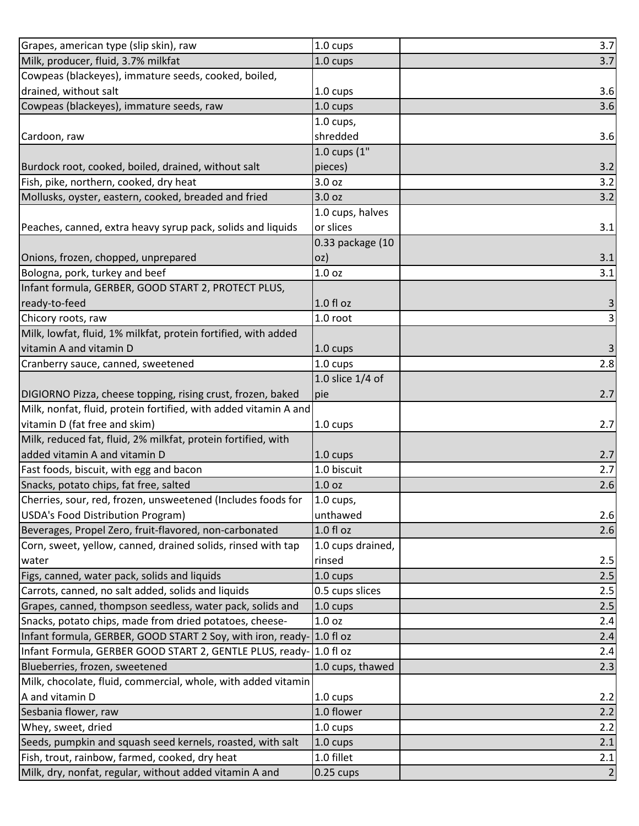| Grapes, american type (slip skin), raw                           | 1.0 cups          | 3.7                     |
|------------------------------------------------------------------|-------------------|-------------------------|
| Milk, producer, fluid, 3.7% milkfat                              | 1.0 cups          | 3.7                     |
| Cowpeas (blackeyes), immature seeds, cooked, boiled,             |                   |                         |
| drained, without salt                                            | 1.0 cups          | 3.6                     |
| Cowpeas (blackeyes), immature seeds, raw                         | 1.0 cups          | 3.6                     |
|                                                                  | $1.0$ cups,       |                         |
| Cardoon, raw                                                     | shredded          | 3.6                     |
|                                                                  | 1.0 cups (1"      |                         |
| Burdock root, cooked, boiled, drained, without salt              | pieces)           | 3.2                     |
| Fish, pike, northern, cooked, dry heat                           | 3.0 oz            | 3.2                     |
| Mollusks, oyster, eastern, cooked, breaded and fried             | 3.0 oz            | 3.2                     |
|                                                                  | 1.0 cups, halves  |                         |
| Peaches, canned, extra heavy syrup pack, solids and liquids      | or slices         | 3.1                     |
|                                                                  | 0.33 package (10  |                         |
| Onions, frozen, chopped, unprepared                              | oz)               | 3.1                     |
| Bologna, pork, turkey and beef                                   | 1.0 oz            | 3.1                     |
| Infant formula, GERBER, GOOD START 2, PROTECT PLUS,              |                   |                         |
| ready-to-feed                                                    | $1.0 f$ l oz      | $\overline{\mathbf{3}}$ |
| Chicory roots, raw                                               | 1.0 root          | $\overline{3}$          |
| Milk, lowfat, fluid, 1% milkfat, protein fortified, with added   |                   |                         |
| vitamin A and vitamin D                                          | 1.0 cups          | $\overline{3}$          |
| Cranberry sauce, canned, sweetened                               | 1.0 cups          | 2.8                     |
|                                                                  | 1.0 slice 1/4 of  |                         |
| DIGIORNO Pizza, cheese topping, rising crust, frozen, baked      | pie               | 2.7                     |
| Milk, nonfat, fluid, protein fortified, with added vitamin A and |                   |                         |
| vitamin D (fat free and skim)                                    | 1.0 cups          | 2.7                     |
| Milk, reduced fat, fluid, 2% milkfat, protein fortified, with    |                   |                         |
| added vitamin A and vitamin D                                    | 1.0 cups          | 2.7                     |
| Fast foods, biscuit, with egg and bacon                          | 1.0 biscuit       | 2.7                     |
| Snacks, potato chips, fat free, salted                           | 1.0 oz            | 2.6                     |
| Cherries, sour, red, frozen, unsweetened (Includes foods for     | $1.0$ cups,       |                         |
| USDA's Food Distribution Program)                                | unthawed          | 2.6                     |
| Beverages, Propel Zero, fruit-flavored, non-carbonated           | 1.0 f1 oz         | 2.6                     |
| Corn, sweet, yellow, canned, drained solids, rinsed with tap     | 1.0 cups drained, |                         |
| water                                                            | rinsed            | 2.5                     |
| Figs, canned, water pack, solids and liquids                     | 1.0 cups          | 2.5                     |
| Carrots, canned, no salt added, solids and liquids               | 0.5 cups slices   | 2.5                     |
| Grapes, canned, thompson seedless, water pack, solids and        | 1.0 cups          | 2.5                     |
| Snacks, potato chips, made from dried potatoes, cheese-          | 1.0 oz            | 2.4                     |
| Infant formula, GERBER, GOOD START 2 Soy, with iron, ready-      | 1.0 fl oz         | 2.4                     |
| Infant Formula, GERBER GOOD START 2, GENTLE PLUS, ready-         | 1.0 fl oz         | 2.4                     |
| Blueberries, frozen, sweetened                                   | 1.0 cups, thawed  | 2.3                     |
| Milk, chocolate, fluid, commercial, whole, with added vitamin    |                   |                         |
| A and vitamin D                                                  | 1.0 cups          | 2.2                     |
| Sesbania flower, raw                                             | 1.0 flower        | 2.2                     |
| Whey, sweet, dried                                               | 1.0 cups          | 2.2                     |
| Seeds, pumpkin and squash seed kernels, roasted, with salt       | 1.0 cups          | 2.1                     |
| Fish, trout, rainbow, farmed, cooked, dry heat                   | 1.0 fillet        | 2.1                     |
| Milk, dry, nonfat, regular, without added vitamin A and          | $0.25$ cups       | $\overline{2}$          |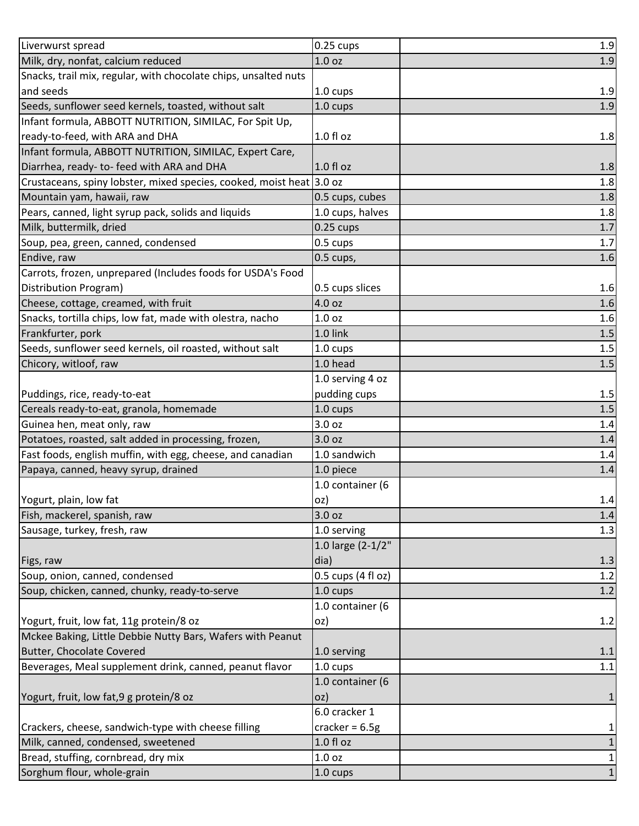| Liverwurst spread                                                    | $0.25$ cups        | 1.9          |
|----------------------------------------------------------------------|--------------------|--------------|
| Milk, dry, nonfat, calcium reduced                                   | 1.0 <sub>oz</sub>  | 1.9          |
| Snacks, trail mix, regular, with chocolate chips, unsalted nuts      |                    |              |
| and seeds                                                            | 1.0 cups           | 1.9          |
| Seeds, sunflower seed kernels, toasted, without salt                 | 1.0 cups           | 1.9          |
| Infant formula, ABBOTT NUTRITION, SIMILAC, For Spit Up,              |                    |              |
| ready-to-feed, with ARA and DHA                                      | $1.0 f$ l oz       | 1.8          |
| Infant formula, ABBOTT NUTRITION, SIMILAC, Expert Care,              |                    |              |
| Diarrhea, ready- to- feed with ARA and DHA                           | $1.0 f$ l oz       | 1.8          |
| Crustaceans, spiny lobster, mixed species, cooked, moist heat 3.0 oz |                    | 1.8          |
| Mountain yam, hawaii, raw                                            | 0.5 cups, cubes    | 1.8          |
| Pears, canned, light syrup pack, solids and liquids                  | 1.0 cups, halves   | 1.8          |
| Milk, buttermilk, dried                                              | $0.25$ cups        | $1.7$        |
| Soup, pea, green, canned, condensed                                  | 0.5 cups           | 1.7          |
| Endive, raw                                                          | 0.5 cups,          | 1.6          |
| Carrots, frozen, unprepared (Includes foods for USDA's Food          |                    |              |
| Distribution Program)                                                | 0.5 cups slices    | 1.6          |
| Cheese, cottage, creamed, with fruit                                 | 4.0 oz             | 1.6          |
| Snacks, tortilla chips, low fat, made with olestra, nacho            | 1.0 <sub>oz</sub>  | 1.6          |
| Frankfurter, pork                                                    | 1.0 link           | $1.5$        |
| Seeds, sunflower seed kernels, oil roasted, without salt             | 1.0 cups           | 1.5          |
| Chicory, witloof, raw                                                | 1.0 head           | 1.5          |
|                                                                      | 1.0 serving 4 oz   |              |
| Puddings, rice, ready-to-eat                                         | pudding cups       | 1.5          |
| Cereals ready-to-eat, granola, homemade                              | 1.0 cups           | 1.5          |
| Guinea hen, meat only, raw                                           | 3.0 oz             | 1.4          |
| Potatoes, roasted, salt added in processing, frozen,                 | 3.0 oz             | 1.4          |
| Fast foods, english muffin, with egg, cheese, and canadian           | 1.0 sandwich       | 1.4          |
| Papaya, canned, heavy syrup, drained                                 | 1.0 piece          | 1.4          |
|                                                                      | 1.0 container (6   |              |
| Yogurt, plain, low fat                                               | loz)               | 1.4          |
| Fish, mackerel, spanish, raw                                         | 3.0 oz             | 1.4          |
| Sausage, turkey, fresh, raw                                          | 1.0 serving        | 1.3          |
|                                                                      | 1.0 large (2-1/2"  |              |
| Figs, raw                                                            | dia)               | 1.3          |
| Soup, onion, canned, condensed                                       | 0.5 cups (4 fl oz) | 1.2          |
| Soup, chicken, canned, chunky, ready-to-serve                        | $1.0 \text{ cups}$ | 1.2          |
|                                                                      | 1.0 container (6   |              |
| Yogurt, fruit, low fat, 11g protein/8 oz                             | oz)                | 1.2          |
| Mckee Baking, Little Debbie Nutty Bars, Wafers with Peanut           |                    |              |
| Butter, Chocolate Covered                                            | 1.0 serving        | 1.1          |
| Beverages, Meal supplement drink, canned, peanut flavor              | 1.0 cups           | 1.1          |
|                                                                      | 1.0 container (6   |              |
| Yogurt, fruit, low fat, 9 g protein/8 oz                             | oz)                | 1            |
|                                                                      | 6.0 cracker 1      |              |
| Crackers, cheese, sandwich-type with cheese filling                  | cracker = $6.5g$   | 1            |
| Milk, canned, condensed, sweetened                                   | 1.0 fl oz          | $\mathbf 1$  |
| Bread, stuffing, cornbread, dry mix                                  | 1.0 oz             | $\mathbf{1}$ |
| Sorghum flour, whole-grain                                           | 1.0 cups           | $1\vert$     |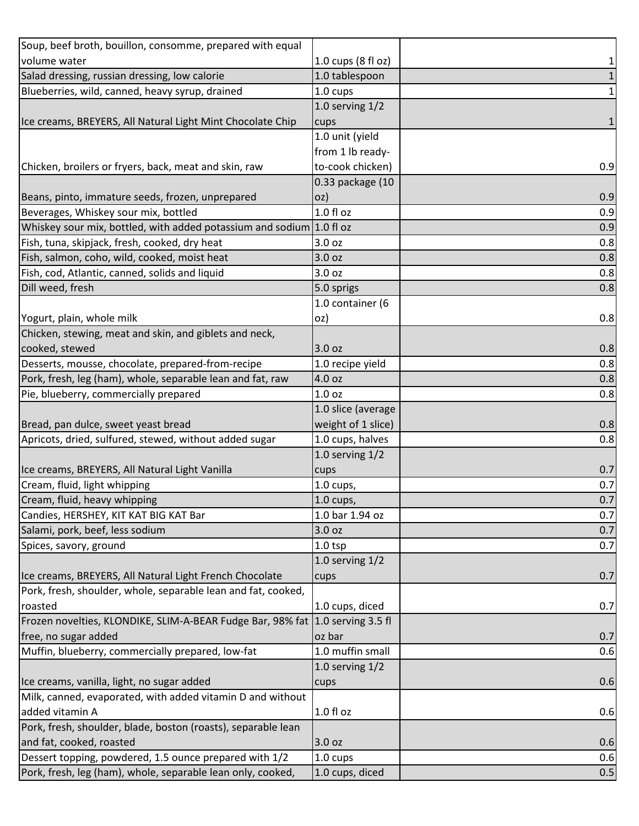| Soup, beef broth, bouillon, consomme, prepared with equal                           |                    |              |
|-------------------------------------------------------------------------------------|--------------------|--------------|
| volume water                                                                        | 1.0 cups (8 fl oz) | 1            |
| Salad dressing, russian dressing, low calorie                                       | 1.0 tablespoon     | $\mathbf 1$  |
| Blueberries, wild, canned, heavy syrup, drained                                     | 1.0 cups           | $\mathbf{1}$ |
|                                                                                     | 1.0 serving $1/2$  |              |
| Ice creams, BREYERS, All Natural Light Mint Chocolate Chip                          | cups               | 1            |
|                                                                                     | 1.0 unit (yield    |              |
|                                                                                     | from 1 lb ready-   |              |
| Chicken, broilers or fryers, back, meat and skin, raw                               | to-cook chicken)   | 0.9          |
|                                                                                     | 0.33 package (10   |              |
| Beans, pinto, immature seeds, frozen, unprepared                                    | oz)                | 0.9          |
| Beverages, Whiskey sour mix, bottled                                                | 1.0 fl oz          | 0.9          |
| Whiskey sour mix, bottled, with added potassium and sodium $\left 1.0\right $ fl oz |                    | 0.9          |
| Fish, tuna, skipjack, fresh, cooked, dry heat                                       | 3.0 oz             | 0.8          |
| Fish, salmon, coho, wild, cooked, moist heat                                        | 3.0 oz             | 0.8          |
| Fish, cod, Atlantic, canned, solids and liquid                                      | 3.0 oz             | 0.8          |
| Dill weed, fresh                                                                    | 5.0 sprigs         | 0.8          |
|                                                                                     | 1.0 container (6   |              |
| Yogurt, plain, whole milk                                                           | oz)                | 0.8          |
| Chicken, stewing, meat and skin, and giblets and neck,                              |                    |              |
| cooked, stewed                                                                      | 3.0 oz             | 0.8          |
| Desserts, mousse, chocolate, prepared-from-recipe                                   | 1.0 recipe yield   | 0.8          |
| Pork, fresh, leg (ham), whole, separable lean and fat, raw                          | 4.0 oz             | 0.8          |
| Pie, blueberry, commercially prepared                                               | 1.0 <sub>oz</sub>  | 0.8          |
|                                                                                     | 1.0 slice (average |              |
| Bread, pan dulce, sweet yeast bread                                                 | weight of 1 slice) | 0.8          |
| Apricots, dried, sulfured, stewed, without added sugar                              | 1.0 cups, halves   | 0.8          |
|                                                                                     | 1.0 serving $1/2$  |              |
| Ice creams, BREYERS, All Natural Light Vanilla                                      | cups               | 0.7          |
| Cream, fluid, light whipping                                                        | 1.0 cups,          | 0.7          |
| Cream, fluid, heavy whipping                                                        | 1.0 cups,          | 0.7          |
| Candies, HERSHEY, KIT KAT BIG KAT Bar                                               | 1.0 bar 1.94 oz    | 0.7          |
| Salami, pork, beef, less sodium                                                     | 3.0 oz             | 0.7          |
| Spices, savory, ground                                                              | $1.0$ tsp          | 0.7          |
|                                                                                     | 1.0 serving $1/2$  |              |
| Ice creams, BREYERS, All Natural Light French Chocolate                             | cups               | 0.7          |
| Pork, fresh, shoulder, whole, separable lean and fat, cooked,                       |                    |              |
| roasted                                                                             | 1.0 cups, diced    | 0.7          |
| Frozen novelties, KLONDIKE, SLIM-A-BEAR Fudge Bar, 98% fat 1.0 serving 3.5 fl       |                    |              |
| free, no sugar added                                                                | oz bar             | 0.7          |
| Muffin, blueberry, commercially prepared, low-fat                                   | 1.0 muffin small   | 0.6          |
|                                                                                     | 1.0 serving $1/2$  |              |
| Ice creams, vanilla, light, no sugar added                                          | cups               | 0.6          |
| Milk, canned, evaporated, with added vitamin D and without                          |                    |              |
| added vitamin A                                                                     | 1.0 fl oz          | 0.6          |
| Pork, fresh, shoulder, blade, boston (roasts), separable lean                       |                    |              |
| and fat, cooked, roasted                                                            | 3.0 oz             | 0.6          |
| Dessert topping, powdered, 1.5 ounce prepared with 1/2                              | 1.0 cups           | 0.6          |
| Pork, fresh, leg (ham), whole, separable lean only, cooked,                         | 1.0 cups, diced    | 0.5          |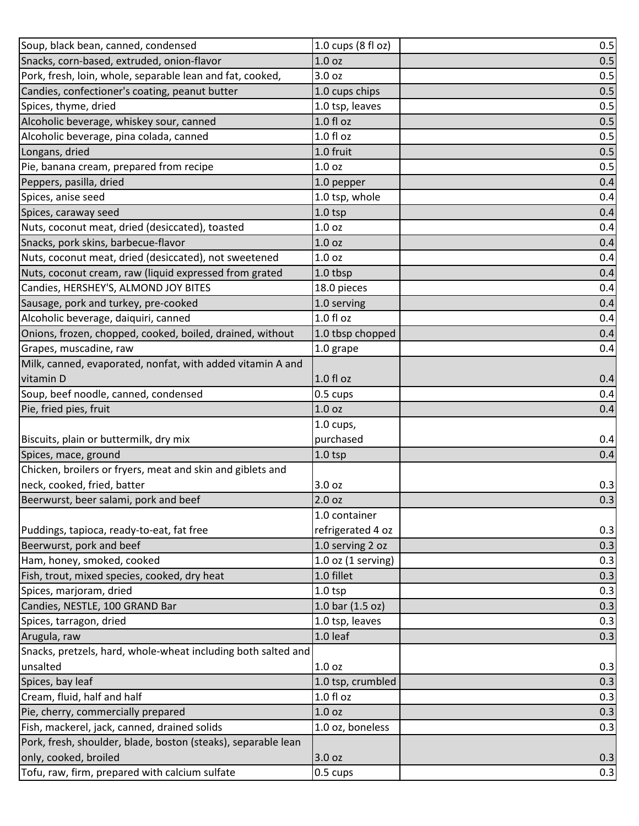| Soup, black bean, canned, condensed                           | 1.0 cups (8 fl oz)     | 0.5 |
|---------------------------------------------------------------|------------------------|-----|
| Snacks, corn-based, extruded, onion-flavor                    | 1.0 <sub>oz</sub>      | 0.5 |
| Pork, fresh, loin, whole, separable lean and fat, cooked,     | 3.0 <sub>oz</sub>      | 0.5 |
| Candies, confectioner's coating, peanut butter                | 1.0 cups chips         | 0.5 |
| Spices, thyme, dried                                          | 1.0 tsp, leaves        | 0.5 |
| Alcoholic beverage, whiskey sour, canned                      | $1.0 f$ l oz           | 0.5 |
| Alcoholic beverage, pina colada, canned                       | $1.0 f$ l oz           | 0.5 |
| Longans, dried                                                | 1.0 fruit              | 0.5 |
| Pie, banana cream, prepared from recipe                       | 1.0 <sub>oz</sub>      | 0.5 |
| Peppers, pasilla, dried                                       | 1.0 pepper             | 0.4 |
| Spices, anise seed                                            | 1.0 tsp, whole         | 0.4 |
| Spices, caraway seed                                          | $1.0$ tsp              | 0.4 |
| Nuts, coconut meat, dried (desiccated), toasted               | 1.0 <sub>oz</sub>      | 0.4 |
| Snacks, pork skins, barbecue-flavor                           | 1.0 <sub>oz</sub>      | 0.4 |
| Nuts, coconut meat, dried (desiccated), not sweetened         | 1.0 <sub>oz</sub>      | 0.4 |
| Nuts, coconut cream, raw (liquid expressed from grated        | 1.0 tbsp               | 0.4 |
| Candies, HERSHEY'S, ALMOND JOY BITES                          | 18.0 pieces            | 0.4 |
| Sausage, pork and turkey, pre-cooked                          | 1.0 serving            | 0.4 |
| Alcoholic beverage, daiquiri, canned                          | 1.0 fl oz              | 0.4 |
| Onions, frozen, chopped, cooked, boiled, drained, without     | 1.0 tbsp chopped       | 0.4 |
| Grapes, muscadine, raw                                        | 1.0 grape              | 0.4 |
| Milk, canned, evaporated, nonfat, with added vitamin A and    |                        |     |
| vitamin D                                                     | 1.0 fl oz              | 0.4 |
| Soup, beef noodle, canned, condensed                          | 0.5 cups               | 0.4 |
| Pie, fried pies, fruit                                        | 1.0 <sub>oz</sub>      | 0.4 |
|                                                               | 1.0 cups,              |     |
| Biscuits, plain or buttermilk, dry mix                        | purchased              | 0.4 |
| Spices, mace, ground                                          | $1.0$ tsp              | 0.4 |
| Chicken, broilers or fryers, meat and skin and giblets and    |                        |     |
| neck, cooked, fried, batter                                   | 3.0 oz                 | 0.3 |
| Beerwurst, beer salami, pork and beef                         | 2.0 oz                 | 0.3 |
|                                                               | 1.0 container          |     |
| Puddings, tapioca, ready-to-eat, fat free                     | refrigerated 4 oz      | 0.3 |
| Beerwurst, pork and beef                                      | 1.0 serving 2 oz       | 0.3 |
| Ham, honey, smoked, cooked                                    | $1.0$ oz $(1$ serving) | 0.3 |
| Fish, trout, mixed species, cooked, dry heat                  | 1.0 fillet             | 0.3 |
| Spices, marjoram, dried                                       | $1.0$ tsp              | 0.3 |
| Candies, NESTLE, 100 GRAND Bar                                | 1.0 bar (1.5 oz)       | 0.3 |
| Spices, tarragon, dried                                       | 1.0 tsp, leaves        | 0.3 |
| Arugula, raw                                                  | 1.0 leaf               | 0.3 |
| Snacks, pretzels, hard, whole-wheat including both salted and |                        |     |
| unsalted                                                      | 1.0 <sub>oz</sub>      | 0.3 |
| Spices, bay leaf                                              | 1.0 tsp, crumbled      | 0.3 |
| Cream, fluid, half and half                                   | $1.0 f$ l oz           | 0.3 |
| Pie, cherry, commercially prepared                            | 1.0 <sub>oz</sub>      | 0.3 |
| Fish, mackerel, jack, canned, drained solids                  | 1.0 oz, boneless       | 0.3 |
| Pork, fresh, shoulder, blade, boston (steaks), separable lean |                        |     |
| only, cooked, broiled                                         | 3.0 oz                 | 0.3 |
| Tofu, raw, firm, prepared with calcium sulfate                | 0.5 cups               | 0.3 |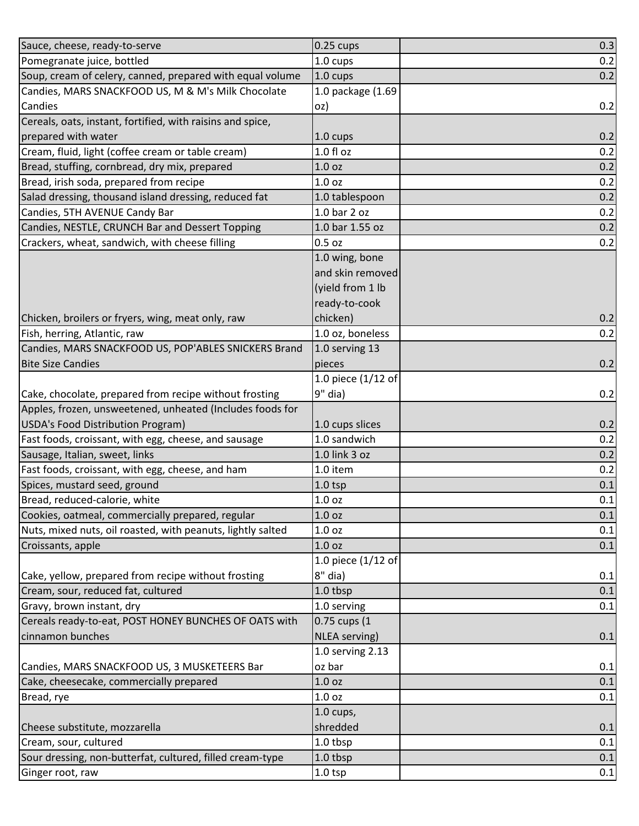| Sauce, cheese, ready-to-serve                               | $0.25$ cups        | 0.3 |
|-------------------------------------------------------------|--------------------|-----|
| Pomegranate juice, bottled                                  | 1.0 cups           | 0.2 |
| Soup, cream of celery, canned, prepared with equal volume   | 1.0 cups           | 0.2 |
| Candies, MARS SNACKFOOD US, M & M's Milk Chocolate          | 1.0 package (1.69  |     |
| Candies                                                     | oz)                | 0.2 |
| Cereals, oats, instant, fortified, with raisins and spice,  |                    |     |
| prepared with water                                         | 1.0 cups           | 0.2 |
| Cream, fluid, light (coffee cream or table cream)           | $1.0 f$ l oz       | 0.2 |
| Bread, stuffing, cornbread, dry mix, prepared               | 1.0 <sub>oz</sub>  | 0.2 |
| Bread, irish soda, prepared from recipe                     | 1.0 <sub>oz</sub>  | 0.2 |
| Salad dressing, thousand island dressing, reduced fat       | 1.0 tablespoon     | 0.2 |
| Candies, 5TH AVENUE Candy Bar                               | 1.0 bar 2 oz       | 0.2 |
| Candies, NESTLE, CRUNCH Bar and Dessert Topping             | 1.0 bar 1.55 oz    | 0.2 |
| Crackers, wheat, sandwich, with cheese filling              | $0.5$ oz           | 0.2 |
|                                                             | 1.0 wing, bone     |     |
|                                                             | and skin removed   |     |
|                                                             | (yield from 1 lb   |     |
|                                                             | ready-to-cook      |     |
| Chicken, broilers or fryers, wing, meat only, raw           | chicken)           | 0.2 |
| Fish, herring, Atlantic, raw                                | 1.0 oz, boneless   | 0.2 |
| Candies, MARS SNACKFOOD US, POP'ABLES SNICKERS Brand        | 1.0 serving 13     |     |
| <b>Bite Size Candies</b>                                    | pieces             | 0.2 |
|                                                             | 1.0 piece (1/12 of |     |
| Cake, chocolate, prepared from recipe without frosting      | 9" dia)            | 0.2 |
| Apples, frozen, unsweetened, unheated (Includes foods for   |                    |     |
| USDA's Food Distribution Program)                           | 1.0 cups slices    | 0.2 |
| Fast foods, croissant, with egg, cheese, and sausage        | 1.0 sandwich       | 0.2 |
| Sausage, Italian, sweet, links                              | 1.0 link 3 oz      | 0.2 |
| Fast foods, croissant, with egg, cheese, and ham            | 1.0 item           | 0.2 |
| Spices, mustard seed, ground                                | $1.0$ tsp          | 0.1 |
| Bread, reduced-calorie, white                               | 1.0 oz             | 0.1 |
| Cookies, oatmeal, commercially prepared, regular            | 1.0 <sub>oz</sub>  | 0.1 |
| Nuts, mixed nuts, oil roasted, with peanuts, lightly salted | 1.0 oz             | 0.1 |
| Croissants, apple                                           | 1.0 <sub>oz</sub>  | 0.1 |
|                                                             | 1.0 piece (1/12 of |     |
| Cake, yellow, prepared from recipe without frosting         | 8" dia)            | 0.1 |
| Cream, sour, reduced fat, cultured                          | 1.0 tbsp           | 0.1 |
| Gravy, brown instant, dry                                   | 1.0 serving        | 0.1 |
| Cereals ready-to-eat, POST HONEY BUNCHES OF OATS with       | 0.75 cups (1       |     |
| cinnamon bunches                                            | NLEA serving)      | 0.1 |
|                                                             | 1.0 serving 2.13   |     |
| Candies, MARS SNACKFOOD US, 3 MUSKETEERS Bar                | oz bar             | 0.1 |
| Cake, cheesecake, commercially prepared                     | 1.0 oz             | 0.1 |
| Bread, rye                                                  | 1.0 oz             | 0.1 |
|                                                             | $1.0$ cups,        |     |
| Cheese substitute, mozzarella                               | shredded           | 0.1 |
| Cream, sour, cultured                                       | 1.0 tbsp           | 0.1 |
| Sour dressing, non-butterfat, cultured, filled cream-type   | 1.0 tbsp           | 0.1 |
| Ginger root, raw                                            | $1.0$ tsp          | 0.1 |